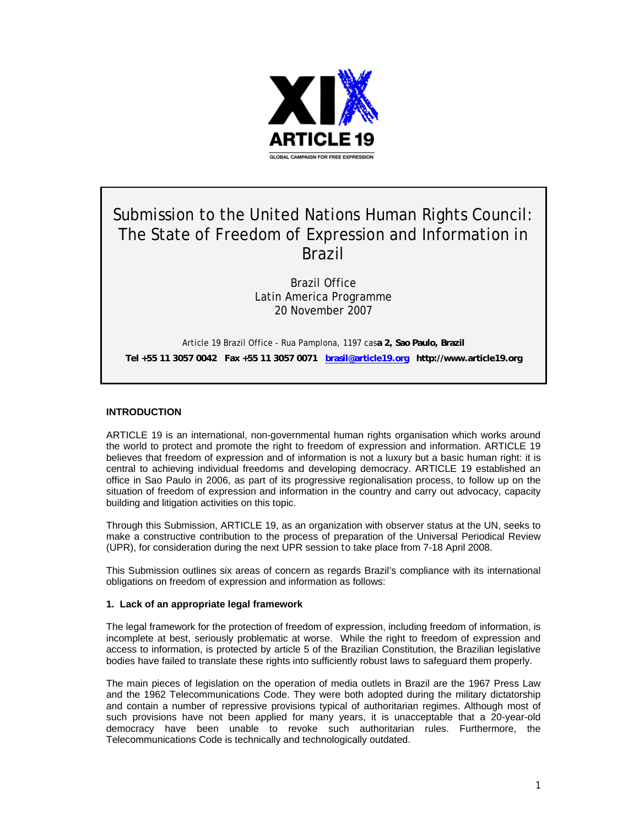

# Submission to the United Nations Human Rights Council: The State of Freedom of Expression and Information in Brazil

Brazil Office Latin America Programme 20 November 2007

Article 19 Brazil Office - Rua Pamplona, 1197 cas**a 2, Sao Paulo, Brazil Tel +55 11 3057 0042 Fax +55 11 3057 0071 brasil@article19.org http://www.article19.org** 

# **INTRODUCTION**

ARTICLE 19 is an international, non-governmental human rights organisation which works around the world to protect and promote the right to freedom of expression and information. ARTICLE 19 believes that freedom of expression and of information is not a luxury but a basic human right: it is central to achieving individual freedoms and developing democracy. ARTICLE 19 established an office in Sao Paulo in 2006, as part of its progressive regionalisation process, to follow up on the situation of freedom of expression and information in the country and carry out advocacy, capacity building and litigation activities on this topic.

Through this Submission, ARTICLE 19, as an organization with observer status at the UN, seeks to make a constructive contribution to the process of preparation of the Universal Periodical Review (UPR), for consideration during the next UPR session to take place from 7-18 April 2008.

This Submission outlines six areas of concern as regards Brazil's compliance with its international obligations on freedom of expression and information as follows:

#### **1. Lack of an appropriate legal framework**

The legal framework for the protection of freedom of expression, including freedom of information, is incomplete at best, seriously problematic at worse. While the right to freedom of expression and access to information, is protected by article 5 of the Brazilian Constitution, the Brazilian legislative bodies have failed to translate these rights into sufficiently robust laws to safeguard them properly.

The main pieces of legislation on the operation of media outlets in Brazil are the 1967 Press Law and the 1962 Telecommunications Code. They were both adopted during the military dictatorship and contain a number of repressive provisions typical of authoritarian regimes. Although most of such provisions have not been applied for many years, it is unacceptable that a 20-year-old democracy have been unable to revoke such authoritarian rules. Furthermore, the Telecommunications Code is technically and technologically outdated.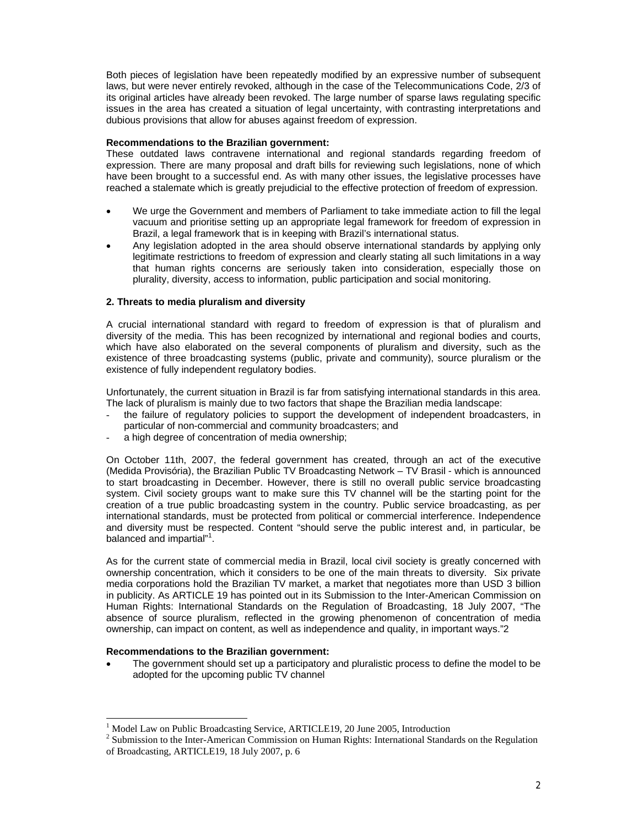Both pieces of legislation have been repeatedly modified by an expressive number of subsequent laws, but were never entirely revoked, although in the case of the Telecommunications Code, 2/3 of its original articles have already been revoked. The large number of sparse laws regulating specific issues in the area has created a situation of legal uncertainty, with contrasting interpretations and dubious provisions that allow for abuses against freedom of expression.

#### **Recommendations to the Brazilian government:**

These outdated laws contravene international and regional standards regarding freedom of expression. There are many proposal and draft bills for reviewing such legislations, none of which have been brought to a successful end. As with many other issues, the legislative processes have reached a stalemate which is greatly prejudicial to the effective protection of freedom of expression.

- We urge the Government and members of Parliament to take immediate action to fill the legal vacuum and prioritise setting up an appropriate legal framework for freedom of expression in Brazil, a legal framework that is in keeping with Brazil's international status.
- Any legislation adopted in the area should observe international standards by applying only legitimate restrictions to freedom of expression and clearly stating all such limitations in a way that human rights concerns are seriously taken into consideration, especially those on plurality, diversity, access to information, public participation and social monitoring.

# **2. Threats to media pluralism and diversity**

A crucial international standard with regard to freedom of expression is that of pluralism and diversity of the media. This has been recognized by international and regional bodies and courts, which have also elaborated on the several components of pluralism and diversity, such as the existence of three broadcasting systems (public, private and community), source pluralism or the existence of fully independent regulatory bodies.

Unfortunately, the current situation in Brazil is far from satisfying international standards in this area. The lack of pluralism is mainly due to two factors that shape the Brazilian media landscape:

- the failure of regulatory policies to support the development of independent broadcasters, in particular of non-commercial and community broadcasters; and
- a high degree of concentration of media ownership;

On October 11th, 2007, the federal government has created, through an act of the executive (Medida Provisória), the Brazilian Public TV Broadcasting Network – TV Brasil - which is announced to start broadcasting in December. However, there is still no overall public service broadcasting system. Civil society groups want to make sure this TV channel will be the starting point for the creation of a true public broadcasting system in the country. Public service broadcasting, as per international standards, must be protected from political or commercial interference. Independence and diversity must be respected. Content "should serve the public interest and, in particular, be balanced and impartial"<sup>1</sup>.

As for the current state of commercial media in Brazil, local civil society is greatly concerned with ownership concentration, which it considers to be one of the main threats to diversity. Six private media corporations hold the Brazilian TV market, a market that negotiates more than USD 3 billion in publicity. As ARTICLE 19 has pointed out in its Submission to the Inter-American Commission on Human Rights: International Standards on the Regulation of Broadcasting, 18 July 2007, "The absence of source pluralism, reflected in the growing phenomenon of concentration of media ownership, can impact on content, as well as independence and quality, in important ways."2

#### **Recommendations to the Brazilian government:**

l

• The government should set up a participatory and pluralistic process to define the model to be adopted for the upcoming public TV channel

<sup>&</sup>lt;sup>1</sup> Model Law on Public Broadcasting Service, ARTICLE19, 20 June 2005, Introduction

 $2$  Submission to the Inter-American Commission on Human Rights: International Standards on the Regulation of Broadcasting, ARTICLE19, 18 July 2007, p. 6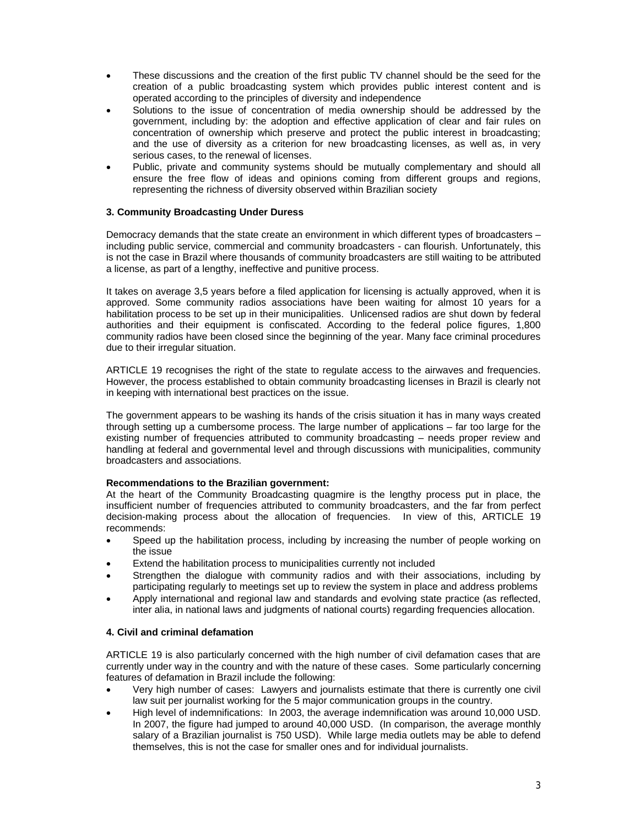- These discussions and the creation of the first public TV channel should be the seed for the creation of a public broadcasting system which provides public interest content and is operated according to the principles of diversity and independence
- Solutions to the issue of concentration of media ownership should be addressed by the government, including by: the adoption and effective application of clear and fair rules on concentration of ownership which preserve and protect the public interest in broadcasting; and the use of diversity as a criterion for new broadcasting licenses, as well as, in very serious cases, to the renewal of licenses.
- Public, private and community systems should be mutually complementary and should all ensure the free flow of ideas and opinions coming from different groups and regions, representing the richness of diversity observed within Brazilian society

# **3. Community Broadcasting Under Duress**

Democracy demands that the state create an environment in which different types of broadcasters – including public service, commercial and community broadcasters - can flourish. Unfortunately, this is not the case in Brazil where thousands of community broadcasters are still waiting to be attributed a license, as part of a lengthy, ineffective and punitive process.

It takes on average 3,5 years before a filed application for licensing is actually approved, when it is approved. Some community radios associations have been waiting for almost 10 years for a habilitation process to be set up in their municipalities. Unlicensed radios are shut down by federal authorities and their equipment is confiscated. According to the federal police figures, 1,800 community radios have been closed since the beginning of the year. Many face criminal procedures due to their irregular situation.

ARTICLE 19 recognises the right of the state to regulate access to the airwaves and frequencies. However, the process established to obtain community broadcasting licenses in Brazil is clearly not in keeping with international best practices on the issue.

The government appears to be washing its hands of the crisis situation it has in many ways created through setting up a cumbersome process. The large number of applications – far too large for the existing number of frequencies attributed to community broadcasting – needs proper review and handling at federal and governmental level and through discussions with municipalities, community broadcasters and associations.

#### **Recommendations to the Brazilian government:**

At the heart of the Community Broadcasting quagmire is the lengthy process put in place, the insufficient number of frequencies attributed to community broadcasters, and the far from perfect decision-making process about the allocation of frequencies. In view of this, ARTICLE 19 recommends:

- Speed up the habilitation process, including by increasing the number of people working on the issue
- Extend the habilitation process to municipalities currently not included
- Strengthen the dialogue with community radios and with their associations, including by participating regularly to meetings set up to review the system in place and address problems
- Apply international and regional law and standards and evolving state practice (as reflected, inter alia, in national laws and judgments of national courts) regarding frequencies allocation.

#### **4. Civil and criminal defamation**

ARTICLE 19 is also particularly concerned with the high number of civil defamation cases that are currently under way in the country and with the nature of these cases. Some particularly concerning features of defamation in Brazil include the following:

- Very high number of cases: Lawyers and journalists estimate that there is currently one civil law suit per journalist working for the 5 major communication groups in the country.
- High level of indemnifications: In 2003, the average indemnification was around 10,000 USD. In 2007, the figure had jumped to around 40,000 USD. (In comparison, the average monthly salary of a Brazilian journalist is 750 USD). While large media outlets may be able to defend themselves, this is not the case for smaller ones and for individual journalists.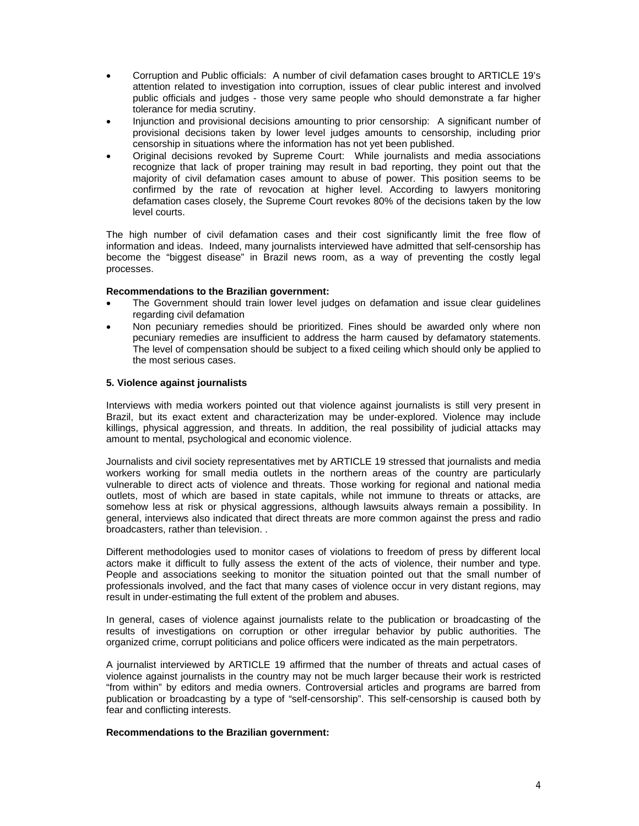- Corruption and Public officials: A number of civil defamation cases brought to ARTICLE 19's attention related to investigation into corruption, issues of clear public interest and involved public officials and judges - those very same people who should demonstrate a far higher tolerance for media scrutiny.
- Injunction and provisional decisions amounting to prior censorship: A significant number of provisional decisions taken by lower level judges amounts to censorship, including prior censorship in situations where the information has not yet been published.
- Original decisions revoked by Supreme Court: While journalists and media associations recognize that lack of proper training may result in bad reporting, they point out that the majority of civil defamation cases amount to abuse of power. This position seems to be confirmed by the rate of revocation at higher level. According to lawyers monitoring defamation cases closely, the Supreme Court revokes 80% of the decisions taken by the low level courts.

The high number of civil defamation cases and their cost significantly limit the free flow of information and ideas. Indeed, many journalists interviewed have admitted that self-censorship has become the "biggest disease" in Brazil news room, as a way of preventing the costly legal processes.

#### **Recommendations to the Brazilian government:**

- The Government should train lower level judges on defamation and issue clear guidelines regarding civil defamation
- Non pecuniary remedies should be prioritized. Fines should be awarded only where non pecuniary remedies are insufficient to address the harm caused by defamatory statements. The level of compensation should be subject to a fixed ceiling which should only be applied to the most serious cases.

#### **5. Violence against journalists**

Interviews with media workers pointed out that violence against journalists is still very present in Brazil, but its exact extent and characterization may be under-explored. Violence may include killings, physical aggression, and threats. In addition, the real possibility of judicial attacks may amount to mental, psychological and economic violence.

Journalists and civil society representatives met by ARTICLE 19 stressed that journalists and media workers working for small media outlets in the northern areas of the country are particularly vulnerable to direct acts of violence and threats. Those working for regional and national media outlets, most of which are based in state capitals, while not immune to threats or attacks, are somehow less at risk or physical aggressions, although lawsuits always remain a possibility. In general, interviews also indicated that direct threats are more common against the press and radio broadcasters, rather than television. .

Different methodologies used to monitor cases of violations to freedom of press by different local actors make it difficult to fully assess the extent of the acts of violence, their number and type. People and associations seeking to monitor the situation pointed out that the small number of professionals involved, and the fact that many cases of violence occur in very distant regions, may result in under-estimating the full extent of the problem and abuses.

In general, cases of violence against journalists relate to the publication or broadcasting of the results of investigations on corruption or other irregular behavior by public authorities. The organized crime, corrupt politicians and police officers were indicated as the main perpetrators.

A journalist interviewed by ARTICLE 19 affirmed that the number of threats and actual cases of violence against journalists in the country may not be much larger because their work is restricted "from within" by editors and media owners. Controversial articles and programs are barred from publication or broadcasting by a type of "self-censorship". This self-censorship is caused both by fear and conflicting interests.

#### **Recommendations to the Brazilian government:**